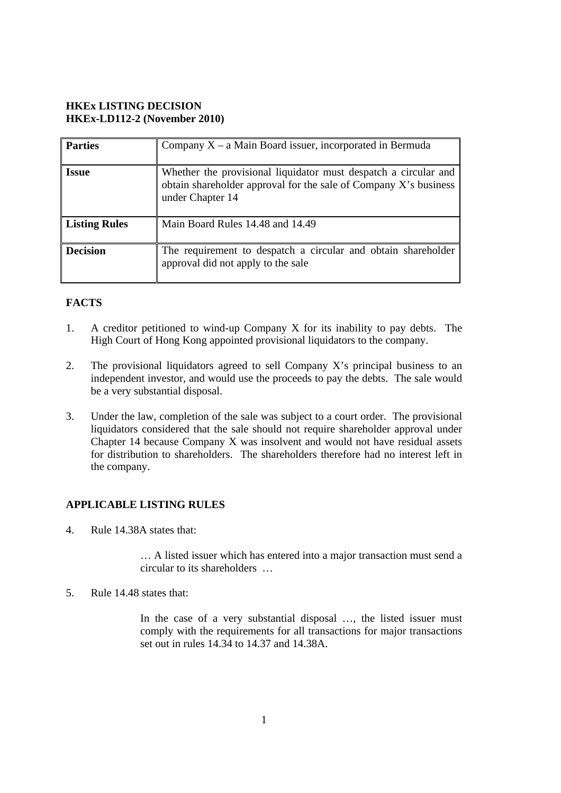## **HKEx LISTING DECISION HKEx-LD112-2 (November 2010)**

| <b>Parties</b>       | Company $X - a$ Main Board issuer, incorporated in Bermuda                                                                                              |
|----------------------|---------------------------------------------------------------------------------------------------------------------------------------------------------|
| <b>Issue</b>         | Whether the provisional liquidator must despatch a circular and<br>obtain shareholder approval for the sale of Company X's business<br>under Chapter 14 |
| <b>Listing Rules</b> | Main Board Rules 14.48 and 14.49                                                                                                                        |
| <b>Decision</b>      | The requirement to despatch a circular and obtain shareholder<br>approval did not apply to the sale                                                     |

# **FACTS**

- 1. A creditor petitioned to wind-up Company X for its inability to pay debts. The High Court of Hong Kong appointed provisional liquidators to the company.
- 2. The provisional liquidators agreed to sell Company X's principal business to an independent investor, and would use the proceeds to pay the debts. The sale would be a very substantial disposal.
- 3. Under the law, completion of the sale was subject to a court order. The provisional liquidators considered that the sale should not require shareholder approval under Chapter 14 because Company X was insolvent and would not have residual assets for distribution to shareholders. The shareholders therefore had no interest left in the company.

# **APPLICABLE LISTING RULES**

4. Rule 14.38A states that:

… A listed issuer which has entered into a major transaction must send a circular to its shareholders …

5. Rule 14.48 states that:

In the case of a very substantial disposal …, the listed issuer must comply with the requirements for all transactions for major transactions set out in rules 14.34 to 14.37 and 14.38A.